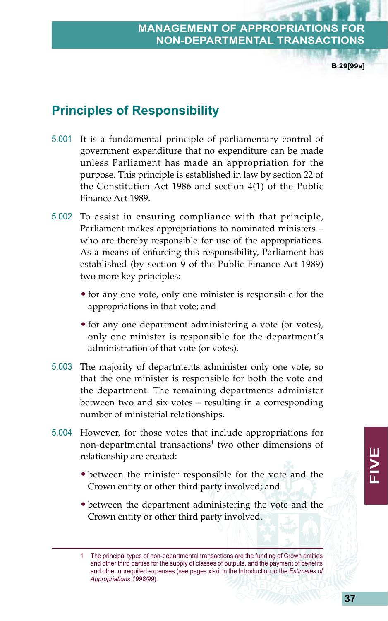**B.29[99a]**

# **Principles of Responsibility**

- 5.001 It is a fundamental principle of parliamentary control of government expenditure that no expenditure can be made unless Parliament has made an appropriation for the purpose. This principle is established in law by section 22 of the Constitution Act 1986 and section 4(1) of the Public Finance Act 1989.
- 5.002 To assist in ensuring compliance with that principle, Parliament makes appropriations to nominated ministers – who are thereby responsible for use of the appropriations. As a means of enforcing this responsibility, Parliament has established (by section 9 of the Public Finance Act 1989) two more key principles:
	- for any one vote, only one minister is responsible for the appropriations in that vote; and
	- for any one department administering a vote (or votes), only one minister is responsible for the department's administration of that vote (or votes).
- 5.003 The majority of departments administer only one vote, so that the one minister is responsible for both the vote and the department. The remaining departments administer between two and six votes – resulting in a corresponding number of ministerial relationships.
- 5.004 However, for those votes that include appropriations for non-departmental transactions $^{\rm 1}$  two other dimensions of relationship are created:
	- between the minister responsible for the vote and the Crown entity or other third party involved; and
	- between the department administering the vote and the Crown entity or other third party involved.

<sup>1</sup> The principal types of non-departmental transactions are the funding of Crown entities and other third parties for the supply of classes of outputs, and the payment of benefits and other unrequited expenses (see pages xi-xii in the Introduction to the *Estimates of Appropriations 1998/99*).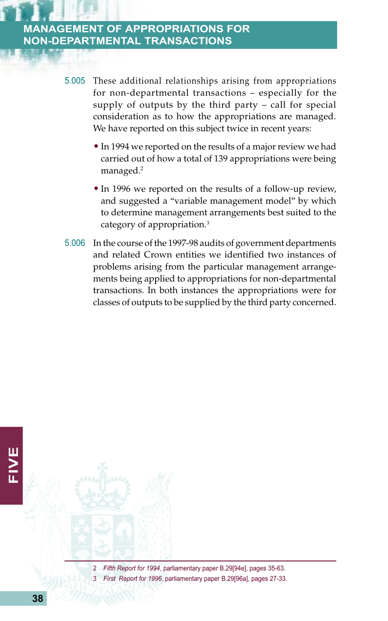- 5.005 These additional relationships arising from appropriations for non-departmental transactions – especially for the supply of outputs by the third party – call for special consideration as to how the appropriations are managed. We have reported on this subject twice in recent years:
	- In 1994 we reported on the results of a major review we had carried out of how a total of 139 appropriations were being managed.2
	- In 1996 we reported on the results of a follow-up review, and suggested a "variable management model" by which to determine management arrangements best suited to the category of appropriation.<sup>3</sup>
- 5.006 In the course of the 1997-98 audits of government departments and related Crown entities we identified two instances of problems arising from the particular management arrangements being applied to appropriations for non-departmental transactions. In both instances the appropriations were for classes of outputs to be supplied by the third party concerned.

2 *Fifth Report for 1994*, parliamentary paper B.29[94e], pages 35-63. 3 *First Report for 1996*, parliamentary paper B.29[96a], pages 27-33.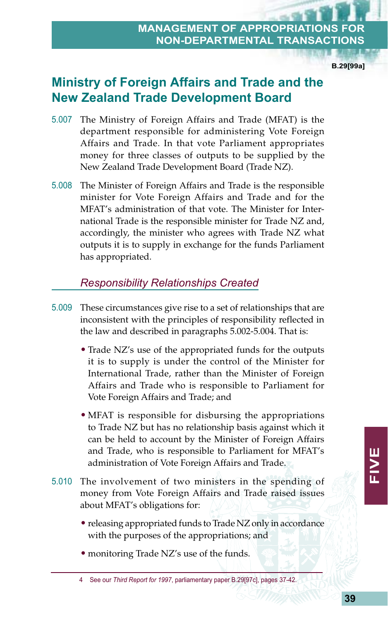**B.29[99a]**

# **Ministry of Foreign Affairs and Trade and the New Zealand Trade Development Board**

- 5.007 The Ministry of Foreign Affairs and Trade (MFAT) is the department responsible for administering Vote Foreign Affairs and Trade. In that vote Parliament appropriates money for three classes of outputs to be supplied by the New Zealand Trade Development Board (Trade NZ).
- 5.008 The Minister of Foreign Affairs and Trade is the responsible minister for Vote Foreign Affairs and Trade and for the MFAT's administration of that vote. The Minister for International Trade is the responsible minister for Trade NZ and, accordingly, the minister who agrees with Trade NZ what outputs it is to supply in exchange for the funds Parliament has appropriated.

# *Responsibility Relationships Created*

- 5.009 These circumstances give rise to a set of relationships that are inconsistent with the principles of responsibility reflected in the law and described in paragraphs 5.002-5.004. That is:
	- Trade NZ's use of the appropriated funds for the outputs it is to supply is under the control of the Minister for International Trade, rather than the Minister of Foreign Affairs and Trade who is responsible to Parliament for Vote Foreign Affairs and Trade; and
	- MFAT is responsible for disbursing the appropriations to Trade NZ but has no relationship basis against which it can be held to account by the Minister of Foreign Affairs and Trade, who is responsible to Parliament for MFAT's administration of Vote Foreign Affairs and Trade.
- 5.010 The involvement of two ministers in the spending of money from Vote Foreign Affairs and Trade raised issues about MFAT's obligations for:
	- releasing appropriated funds to Trade NZ only in accordance with the purposes of the appropriations; and
	- monitoring Trade NZ's use of the funds.
	- 4 See our *Third Report for 1997*, parliamentary paper B.29[97c], pages 37-42.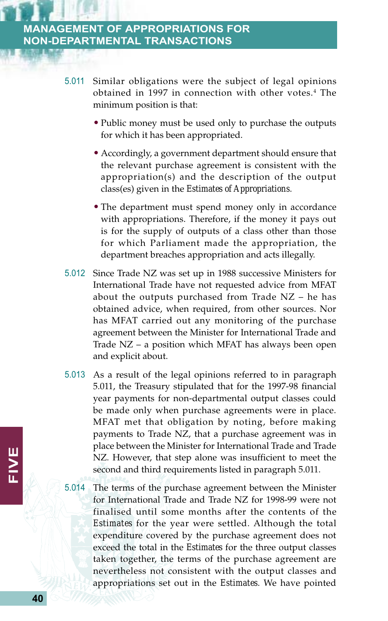- 5.011 Similar obligations were the subject of legal opinions obtained in 1997 in connection with other votes.<sup>4</sup> The minimum position is that:
	- Public money must be used only to purchase the outputs for which it has been appropriated.
	- Accordingly, a government department should ensure that the relevant purchase agreement is consistent with the appropriation(s) and the description of the output class(es) given in the *Estimates of Appropriations*.
	- The department must spend money only in accordance with appropriations. Therefore, if the money it pays out is for the supply of outputs of a class other than those for which Parliament made the appropriation, the department breaches appropriation and acts illegally.
- 5.012 Since Trade NZ was set up in 1988 successive Ministers for International Trade have not requested advice from MFAT about the outputs purchased from Trade NZ – he has obtained advice, when required, from other sources. Nor has MFAT carried out any monitoring of the purchase agreement between the Minister for International Trade and Trade NZ – a position which MFAT has always been open and explicit about.
- 5.013 As a result of the legal opinions referred to in paragraph 5.011, the Treasury stipulated that for the 1997-98 financial year payments for non-departmental output classes could be made only when purchase agreements were in place. MFAT met that obligation by noting, before making payments to Trade NZ, that a purchase agreement was in place between the Minister for International Trade and Trade NZ. However, that step alone was insufficient to meet the second and third requirements listed in paragraph 5.011.

5.014 The terms of the purchase agreement between the Minister for International Trade and Trade NZ for 1998-99 were not finalised until some months after the contents of the *Estimates* for the year were settled. Although the total expenditure covered by the purchase agreement does not exceed the total in the *Estimates* for the three output classes taken together, the terms of the purchase agreement are nevertheless not consistent with the output classes and appropriations set out in the *Estimates*. We have pointed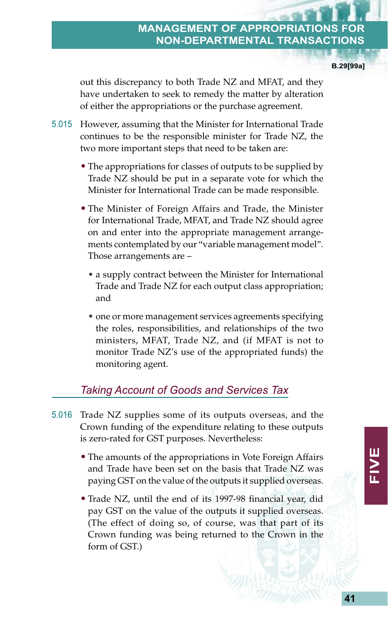**B.29[99a]**

out this discrepancy to both Trade NZ and MFAT, and they have undertaken to seek to remedy the matter by alteration of either the appropriations or the purchase agreement.

- 5.015 However, assuming that the Minister for International Trade continues to be the responsible minister for Trade NZ, the two more important steps that need to be taken are:
	- The appropriations for classes of outputs to be supplied by Trade NZ should be put in a separate vote for which the Minister for International Trade can be made responsible.
	- The Minister of Foreign Affairs and Trade, the Minister for International Trade, MFAT, and Trade NZ should agree on and enter into the appropriate management arrangements contemplated by our "variable management model". Those arrangements are –
		- a supply contract between the Minister for International Trade and Trade NZ for each output class appropriation; and
		- one or more management services agreements specifying the roles, responsibilities, and relationships of the two ministers, MFAT, Trade NZ, and (if MFAT is not to monitor Trade NZ's use of the appropriated funds) the monitoring agent.

# *Taking Account of Goods and Services Tax*

- 5.016 Trade NZ supplies some of its outputs overseas, and the Crown funding of the expenditure relating to these outputs is zero-rated for GST purposes. Nevertheless:
	- The amounts of the appropriations in Vote Foreign Affairs and Trade have been set on the basis that Trade NZ was paying GST on the value of the outputs it supplied overseas.
	- Trade NZ, until the end of its 1997-98 financial year, did pay GST on the value of the outputs it supplied overseas. (The effect of doing so, of course, was that part of its Crown funding was being returned to the Crown in the form of GST.)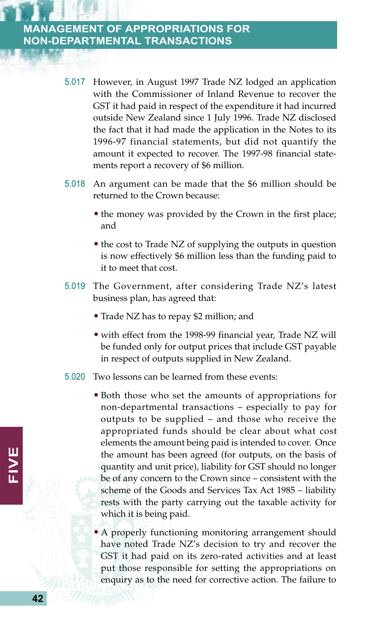- 5.017 However, in August 1997 Trade NZ lodged an application with the Commissioner of Inland Revenue to recover the GST it had paid in respect of the expenditure it had incurred outside New Zealand since 1 July 1996. Trade NZ disclosed the fact that it had made the application in the Notes to its 1996-97 financial statements, but did not quantify the amount it expected to recover. The 1997-98 financial statements report a recovery of \$6 million.
- 5.018 An argument can be made that the \$6 million should be returned to the Crown because:
	- the money was provided by the Crown in the first place; and
	- the cost to Trade NZ of supplying the outputs in question is now effectively \$6 million less than the funding paid to it to meet that cost.
- 5.019 The Government, after considering Trade NZ's latest business plan, has agreed that:
	- Trade NZ has to repay \$2 million; and
	- with effect from the 1998-99 financial year, Trade NZ will be funded only for output prices that include GST payable in respect of outputs supplied in New Zealand.
- 5.020 Two lessons can be learned from these events:
	- Both those who set the amounts of appropriations for non-departmental transactions – especially to pay for outputs to be supplied – and those who receive the appropriated funds should be clear about what cost elements the amount being paid is intended to cover. Once the amount has been agreed (for outputs, on the basis of quantity and unit price), liability for GST should no longer be of any concern to the Crown since – consistent with the scheme of the Goods and Services Tax Act 1985 – liability rests with the party carrying out the taxable activity for which it is being paid.
	- A properly functioning monitoring arrangement should have noted Trade NZ's decision to try and recover the GST it had paid on its zero-rated activities and at least put those responsible for setting the appropriations on enquiry as to the need for corrective action. The failure to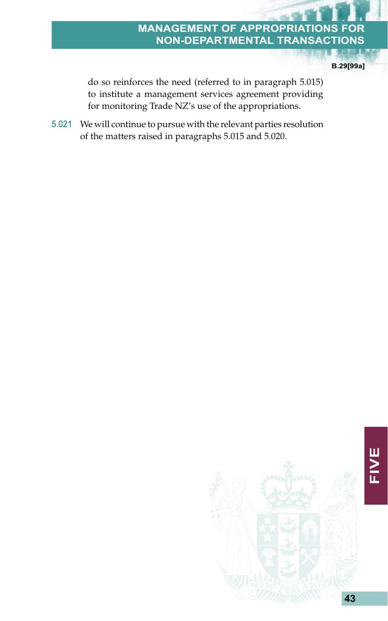**B.29[99a]**

do so reinforces the need (referred to in paragraph 5.015) to institute a management services agreement providing for monitoring Trade NZ's use of the appropriations.

5.021 We will continue to pursue with the relevant parties resolution of the matters raised in paragraphs 5.015 and 5.020.

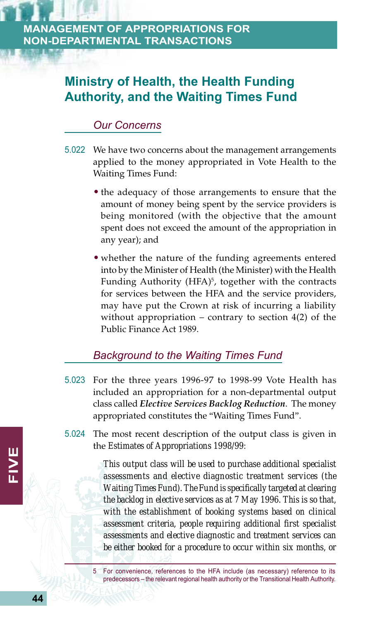# **Ministry of Health, the Health Funding Authority, and the Waiting Times Fund**

# *Our Concerns*

- 5.022 We have two concerns about the management arrangements applied to the money appropriated in Vote Health to the Waiting Times Fund:
	- the adequacy of those arrangements to ensure that the amount of money being spent by the service providers is being monitored (with the objective that the amount spent does not exceed the amount of the appropriation in any year); and
	- whether the nature of the funding agreements entered into by the Minister of Health (the Minister) with the Health Funding Authority (HFA)<sup>5</sup>, together with the contracts for services between the HFA and the service providers, may have put the Crown at risk of incurring a liability without appropriation – contrary to section  $4(2)$  of the Public Finance Act 1989.

### *Background to the Waiting Times Fund*

- 5.023 For the three years 1996-97 to 1998-99 Vote Health has included an appropriation for a non-departmental output class called *Elective Services Backlog Reduction*. The money appropriated constitutes the "Waiting Times Fund".
- 5.024 The most recent description of the output class is given in the *Estimates of Appropriations 1998/99*:

*This output class will be used to purchase additional specialist assessments and elective diagnostic treatment services (the Waiting Times Fund). The Fund is specifically targeted at clearing the backlog in elective services as at 7 May 1996. This is so that, with the establishment of booking systems based on clinical assessment criteria, people requiring additional first specialist assessments and elective diagnostic and treatment services can be either booked for a procedure to occur within six months, or*

<sup>5</sup> For convenience, references to the HFA include (as necessary) reference to its predecessors – the relevant regional health authority or the Transitional Health Authority.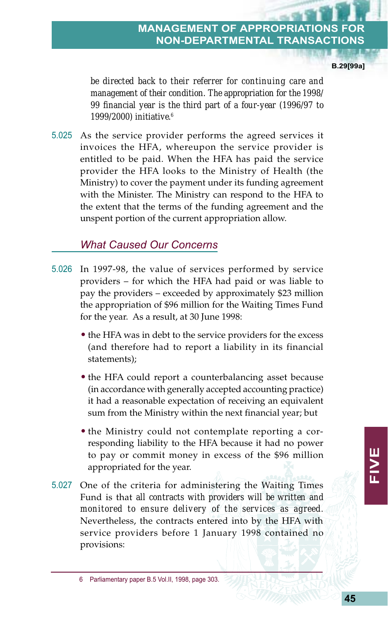**B.29[99a]**

*be directed back to their referrer for continuing care and management of their condition. The appropriation for the 1998/ 99 financial year is the third part of a four-year (1996/97 to 1999/2000) initiative.6*

5.025 As the service provider performs the agreed services it invoices the HFA, whereupon the service provider is entitled to be paid. When the HFA has paid the service provider the HFA looks to the Ministry of Health (the Ministry) to cover the payment under its funding agreement with the Minister. The Ministry can respond to the HFA to the extent that the terms of the funding agreement and the unspent portion of the current appropriation allow.

### *What Caused Our Concerns*

- 5.026 In 1997-98, the value of services performed by service providers – for which the HFA had paid or was liable to pay the providers – exceeded by approximately \$23 million the appropriation of \$96 million for the Waiting Times Fund for the year. As a result, at 30 June 1998:
	- the HFA was in debt to the service providers for the excess (and therefore had to report a liability in its financial statements);
	- the HFA could report a counterbalancing asset because (in accordance with generally accepted accounting practice) it had a reasonable expectation of receiving an equivalent sum from the Ministry within the next financial year; but
	- the Ministry could not contemplate reporting a corresponding liability to the HFA because it had no power to pay or commit money in excess of the \$96 million appropriated for the year.
- 5.027 One of the criteria for administering the Waiting Times Fund is that *all contracts with providers will be written and monitored to ensure delivery of the services as agreed*. Nevertheless, the contracts entered into by the HFA with service providers before 1 January 1998 contained no provisions: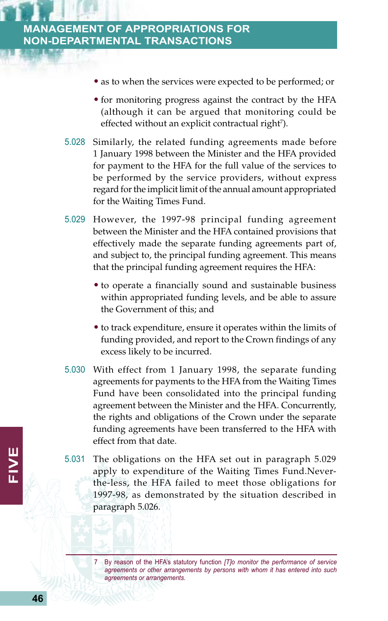- as to when the services were expected to be performed; or
- for monitoring progress against the contract by the HFA (although it can be argued that monitoring could be effected without an explicit contractual right $\bar{\ }$ ).
- 5.028 Similarly, the related funding agreements made before 1 January 1998 between the Minister and the HFA provided for payment to the HFA for the full value of the services to be performed by the service providers, without express regard for the implicit limit of the annual amount appropriated for the Waiting Times Fund.
- 5.029 However, the 1997-98 principal funding agreement between the Minister and the HFA contained provisions that effectively made the separate funding agreements part of, and subject to, the principal funding agreement. This means that the principal funding agreement requires the HFA:
	- to operate a financially sound and sustainable business within appropriated funding levels, and be able to assure the Government of this; and
	- to track expenditure, ensure it operates within the limits of funding provided, and report to the Crown findings of any excess likely to be incurred.
- 5.030 With effect from 1 January 1998, the separate funding agreements for payments to the HFA from the Waiting Times Fund have been consolidated into the principal funding agreement between the Minister and the HFA. Concurrently, the rights and obligations of the Crown under the separate funding agreements have been transferred to the HFA with effect from that date.
- 5.031 The obligations on the HFA set out in paragraph 5.029 apply to expenditure of the Waiting Times Fund.Neverthe-less, the HFA failed to meet those obligations for 1997-98, as demonstrated by the situation described in paragraph 5.026.

<sup>7</sup> By reason of the HFA's statutory function *[T]o monitor the performance of service agreements or other arrangements by persons with whom it has entered into such agreements or arrangements.*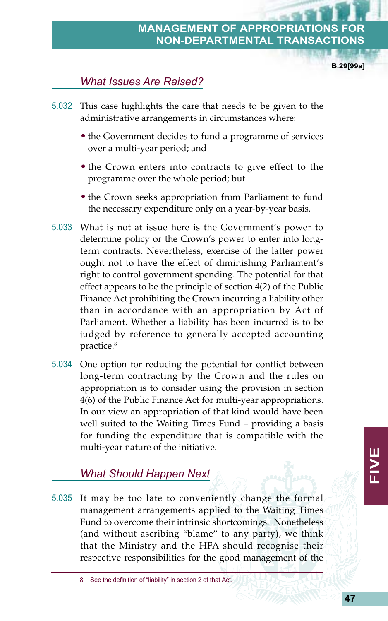**B.29[99a]**

# *What Issues Are Raised?*

- 5.032 This case highlights the care that needs to be given to the administrative arrangements in circumstances where:
	- the Government decides to fund a programme of services over a multi-year period; and
	- the Crown enters into contracts to give effect to the programme over the whole period; but
	- the Crown seeks appropriation from Parliament to fund the necessary expenditure only on a year-by-year basis.
- 5.033 What is not at issue here is the Government's power to determine policy or the Crown's power to enter into longterm contracts. Nevertheless, exercise of the latter power ought not to have the effect of diminishing Parliament's right to control government spending. The potential for that effect appears to be the principle of section 4(2) of the Public Finance Act prohibiting the Crown incurring a liability other than in accordance with an appropriation by Act of Parliament. Whether a liability has been incurred is to be judged by reference to generally accepted accounting practice.8
- 5.034 One option for reducing the potential for conflict between long-term contracting by the Crown and the rules on appropriation is to consider using the provision in section 4(6) of the Public Finance Act for multi-year appropriations. In our view an appropriation of that kind would have been well suited to the Waiting Times Fund – providing a basis for funding the expenditure that is compatible with the multi-year nature of the initiative.

# *What Should Happen Next*

5.035 It may be too late to conveniently change the formal management arrangements applied to the Waiting Times Fund to overcome their intrinsic shortcomings. Nonetheless (and without ascribing "blame" to any party), we think that the Ministry and the HFA should recognise their respective responsibilities for the good management of the